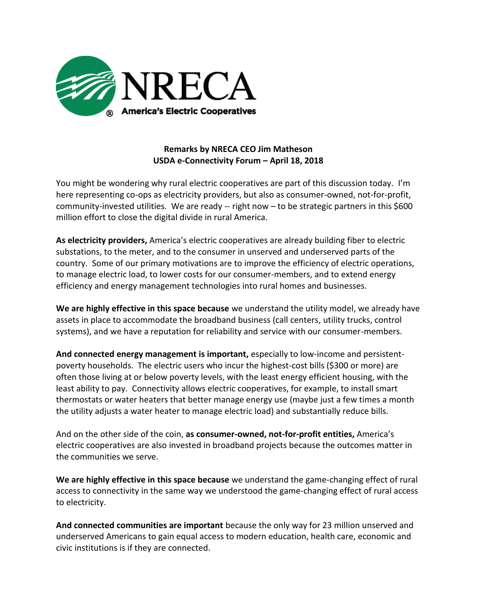

## **Remarks by NRECA CEO Jim Matheson USDA e-Connectivity Forum – April 18, 2018**

You might be wondering why rural electric cooperatives are part of this discussion today. I'm here representing co-ops as electricity providers, but also as consumer-owned, not-for-profit, community-invested utilities. We are ready -- right now – to be strategic partners in this \$600 million effort to close the digital divide in rural America.

**As electricity providers,** America's electric cooperatives are already building fiber to electric substations, to the meter, and to the consumer in unserved and underserved parts of the country. Some of our primary motivations are to improve the efficiency of electric operations, to manage electric load, to lower costs for our consumer-members, and to extend energy efficiency and energy management technologies into rural homes and businesses.

**We are highly effective in this space because** we understand the utility model, we already have assets in place to accommodate the broadband business (call centers, utility trucks, control systems), and we have a reputation for reliability and service with our consumer-members.

**And connected energy management is important,** especially to low-income and persistentpoverty households. The electric users who incur the highest-cost bills (\$300 or more) are often those living at or below poverty levels, with the least energy efficient housing, with the least ability to pay. Connectivity allows electric cooperatives, for example, to install smart thermostats or water heaters that better manage energy use (maybe just a few times a month the utility adjusts a water heater to manage electric load) and substantially reduce bills.

And on the other side of the coin, **as consumer-owned, not-for-profit entities,** America's electric cooperatives are also invested in broadband projects because the outcomes matter in the communities we serve.

**We are highly effective in this space because** we understand the game-changing effect of rural access to connectivity in the same way we understood the game-changing effect of rural access to electricity.

**And connected communities are important** because the only way for 23 million unserved and underserved Americans to gain equal access to modern education, health care, economic and civic institutions is if they are connected.